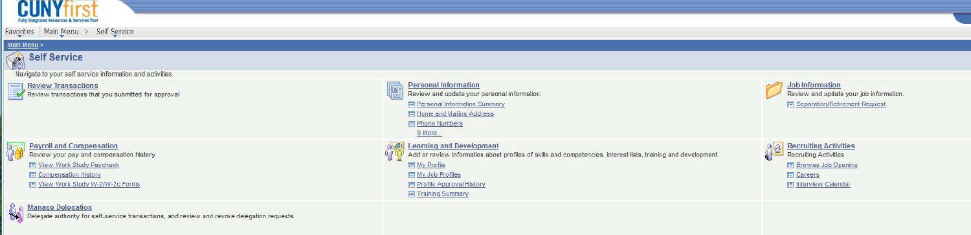

### $Main Menu >$

# Self Service

Navigate to your self service information and activities.

Review Transactions<br>Review transactions that you submitted for approval



**All of Manage Delegation**<br>
Soll Delegate authority for self-service transactions, and review and revoke delegation requests



#### Job Information Review and update your job information. Separation/Retirement Request





- Recruiting Activities **Recruiting Activities** 
	- **Browse Job Opening**
	- **E** Careers
	- **Importance Calendar**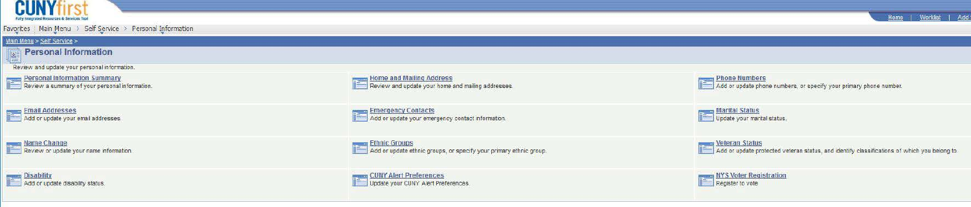

Favorites ... Main Menu > Self Service > Personal Information

**Wain Menu > Self Service >**<br>**Niligial Personal Information** 

Review and update your personal information.

Email Addresses Add or update your email addresses.



Update your marital status.





**Emergency Contacts 11: Add or update your emergency contact information.** 







Add or update ethnic groups, or specify your primary ethnic group.

### Veteran Status

**I.I::** Add or update protected veteran status, and identify classifications of which you belong to.

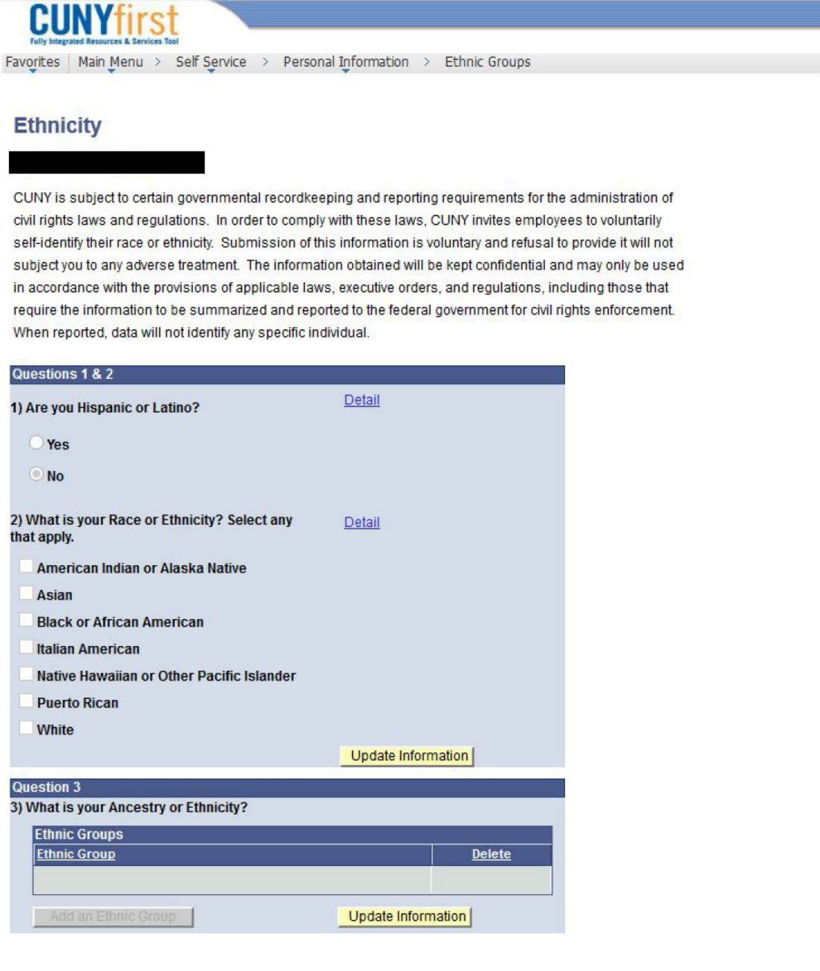

## **Ethnicity**

CUNY is subject to certain governmental recordkeeping and reporting requirements for the administration of civil rights laws and regulations. In order to comply with these laws, CUNY invites employees to voluntarily self-identify their race or ethnicity. Submission of this information is voluntary and refusal to provide it will not subject you to any adverse treatment. The information obtained will be kept confidential and may only be used in accordance with the provisions of applicable laws, executive orders, and regulations, including those that require the information to be summarized and reported to the federal government for civil rights enforcement. When reported, data will not identify any specific individual.

| Questions 1 & 2                                              |                    |
|--------------------------------------------------------------|--------------------|
| 1) Are you Hispanic or Latino?                               | Detail             |
| Yes                                                          |                    |
| <b>No</b>                                                    |                    |
| 2) What is your Race or Ethnicity? Select any<br>that apply. | Detail             |
| American Indian or Alaska Native                             |                    |
| Asian                                                        |                    |
| <b>Black or African American</b>                             |                    |
| <b>Italian American</b>                                      |                    |
| Native Hawaiian or Other Pacific Islander                    |                    |
| <b>Puerto Rican</b>                                          |                    |
| White                                                        |                    |
|                                                              | Update Information |
| <b>Question 3</b>                                            |                    |
| 3) What is your Ancestry or Ethnicity?                       |                    |
| <b>Ethnic Groups</b>                                         |                    |
| <b>Ethnic Croup</b>                                          | <b>Nelete</b>      |

Update Information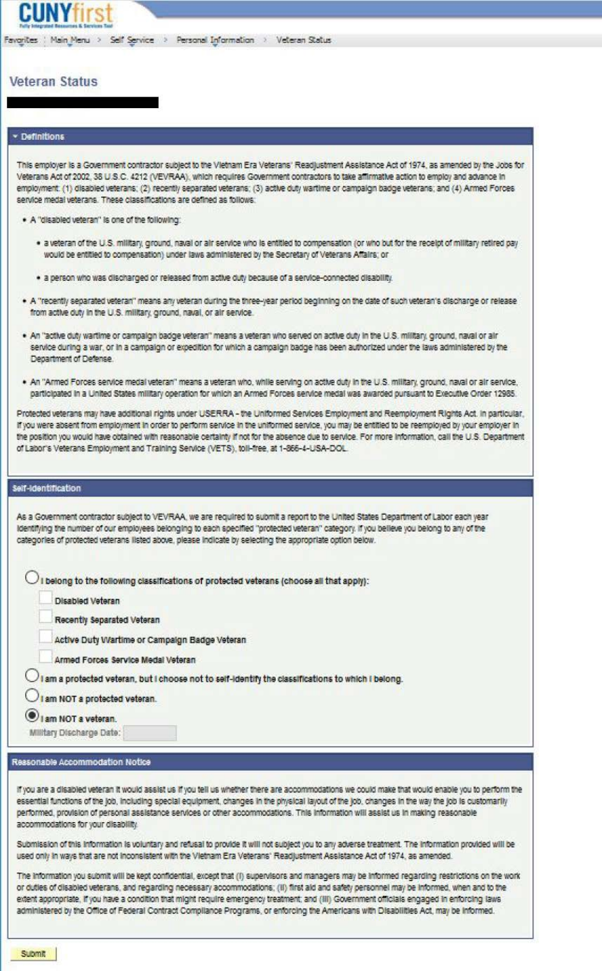#### **Veteran Status**

#### · Definitions

This employer is a Government contractor subject to the Vietnam Era Veterans' Readjustment Assistance Act of 1974, as amended by the Jobs for Veterans Act of 2002, 38 U.S.C. 4212 (VEVRAA), which requires Government contractors to take affirmative action to employ and advance in employment. (1) disabled veterans; (2) recently separated veterans; (3) active duty wartime or campaign badge veterans; and (4) Armed Forces service medal veterans. These classifications are defined as follows:

. A "disabled veteran" is one of the following:

- . a veteran of the U.S. military, ground, naval or air service who is entitled to compensation (or who but for the receipt of military retired pay would be entitled to compensation) under laws administered by the Secretary of Veterans Affairs; or
- · a person who was discharged or released from active duty because of a service-connected disability.
- . A "recently separated veteran" means any veteran during the three-year period beginning on the date of such veteran's discharge or release from active duty in the U.S. military, ground, naval, or air service.
- . An "active duty wartime or campaign badge veteran" means a veteran who served on active duty in the U.S. military, ground, naval or air service during a war, or in a campaign or expedition for which a campaign badge has been authorized under the laws administered by the Department of Defense.
- . An "Armed Forces service medal veteran" means a veteran who, while serving on active duty in the U.S. military, ground, naval or air service, participated in a United States military operation for which an Armed Forces service medal was awarded pursuant to Executive Order 12985.

Protected veterans may have additional rights under USERRA - the Uniformed Services Employment and Reemployment Rights Act. In particular, If you were absent from employment in order to perform service in the uniformed service, you may be entitled to be reemployed by your employer in the position you would have obtained with reasonable certainty if not for the absence due to service. For more information, call the U.S. Department of Labor's Veterans Employment and Training Service (VETS), toll-free, at 1-866-4-USA-DOL.

#### **Self-Identification**

As a Government contractor subject to VEVRAA, we are required to submit a report to the United States Department of Labor each year identifying the number of our employees belonging to each specified "protected veteran" category. If you believe you belong to any of the categories of protected veterans listed above, please indicate by selecting the appropriate option below.

 $\bigcirc$  i belong to the following classifications of protected veterans (choose all that apply):

**Disabled Veteran** 

Recently Separated Veteran

Active Duty Wartime or Campaign Badge Veteran

Armed Forces Service Medal Veteran

 $\bigcirc$  I am a protected veteran, but I choose not to self-identify the classifications to which I belong.

I am NOT a protected veteran.

I am NOT a veteran.

Military Discharge Date:

#### Reasonable Accommodation Notice

If you are a disabled veteran it would assist us if you tell us whether there are accommodations we could make that would enable you to perform the essential functions of the job, including special equipment, changes in the physical layout of the job, changes in the way the job is customarily performed, provision of personal assistance services or other accommodations. This information will assist us in making reasonable accommodations for your disability.

Submission of this information is voluntary and refusal to provide it will not subject you to any adverse treatment. The information provided will be used only in ways that are not inconsistent with the Vietnam Era Veterans' Readjustment Assistance Act of 1974, as amended.

The information you submit will be kept confidential, except that (i) supervisors and managers may be informed regarding restrictions on the work or duties of disabled veterans, and regarding necessary accommodations; (ii) first ald and safety personnel may be informed, when and to the extent appropriate, if you have a condition that might require emergency treatment, and (III) Government officials engaged in enforcing laws administered by the Office of Federal Contract Compilance Programs, or enforcing the Americans with Disabilities Act, may be informed.

**Submit**